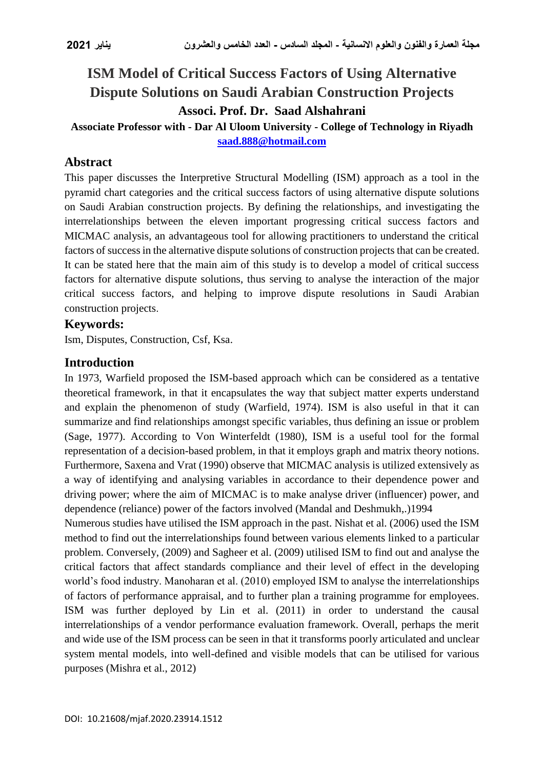# **ISM Model of Critical Success Factors of Using Alternative Dispute Solutions on Saudi Arabian Construction Projects Associ. Prof. Dr. Saad Alshahrani**

**Associate Professor with - Dar Al Uloom University - College of Technology in Riyadh [saad.888@hotmail.com](mailto:saad.888@hotmail.com)**

### **Abstract**

This paper discusses the Interpretive Structural Modelling (ISM) approach as a tool in the pyramid chart categories and the critical success factors of using alternative dispute solutions on Saudi Arabian construction projects. By defining the relationships, and investigating the interrelationships between the eleven important progressing critical success factors and MICMAC analysis, an advantageous tool for allowing practitioners to understand the critical factors of success in the alternative dispute solutions of construction projects that can be created. It can be stated here that the main aim of this study is to develop a model of critical success factors for alternative dispute solutions, thus serving to analyse the interaction of the major critical success factors, and helping to improve dispute resolutions in Saudi Arabian construction projects.

### **Keywords:**

Ism, Disputes, Construction, Csf, Ksa.

### **Introduction**

In 1973, Warfield proposed the ISM-based approach which can be considered as a tentative theoretical framework, in that it encapsulates the way that subject matter experts understand and explain the phenomenon of study (Warfield, 1974). ISM is also useful in that it can summarize and find relationships amongst specific variables, thus defining an issue or problem (Sage, 1977). According to Von Winterfeldt (1980), ISM is a useful tool for the formal representation of a decision-based problem, in that it employs graph and matrix theory notions. Furthermore, Saxena and Vrat (1990) observe that MICMAC analysis is utilized extensively as a way of identifying and analysing variables in accordance to their dependence power and driving power; where the aim of MICMAC is to make analyse driver (influencer) power, and dependence (reliance) power of the factors involved (Mandal and Deshmukh,.)1994

Numerous studies have utilised the ISM approach in the past. Nishat et al. (2006) used the ISM method to find out the interrelationships found between various elements linked to a particular problem. Conversely, (2009) and Sagheer et al. (2009) utilised ISM to find out and analyse the critical factors that affect standards compliance and their level of effect in the developing world's food industry. Manoharan et al. (2010) employed ISM to analyse the interrelationships of factors of performance appraisal, and to further plan a training programme for employees. ISM was further deployed by Lin et al. (2011) in order to understand the causal interrelationships of a vendor performance evaluation framework. Overall, perhaps the merit and wide use of the ISM process can be seen in that it transforms poorly articulated and unclear system mental models, into well-defined and visible models that can be utilised for various purposes (Mishra et al., 2012)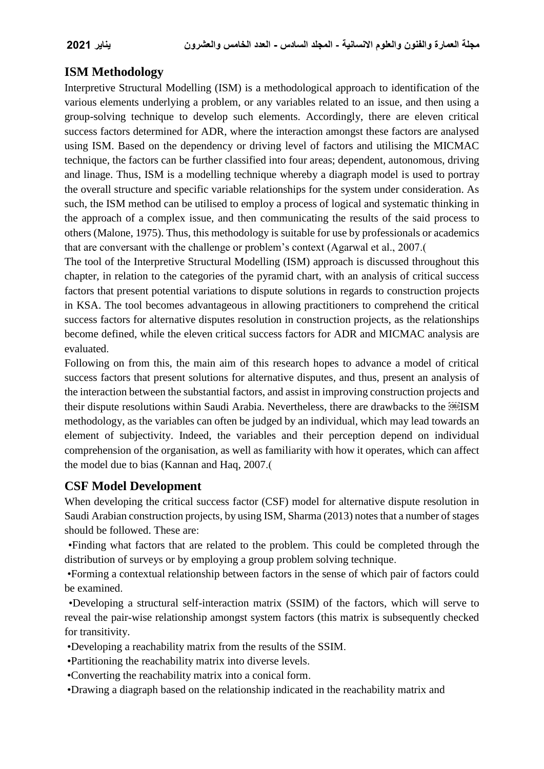## **ISM Methodology**

Interpretive Structural Modelling (ISM) is a methodological approach to identification of the various elements underlying a problem, or any variables related to an issue, and then using a group-solving technique to develop such elements. Accordingly, there are eleven critical success factors determined for ADR, where the interaction amongst these factors are analysed using ISM. Based on the dependency or driving level of factors and utilising the MICMAC technique, the factors can be further classified into four areas; dependent, autonomous, driving and linage. Thus, ISM is a modelling technique whereby a diagraph model is used to portray the overall structure and specific variable relationships for the system under consideration. As such, the ISM method can be utilised to employ a process of logical and systematic thinking in the approach of a complex issue, and then communicating the results of the said process to others (Malone, 1975). Thus, this methodology is suitable for use by professionals or academics that are conversant with the challenge or problem's context (Agarwal et al., 2007.)

The tool of the Interpretive Structural Modelling (ISM) approach is discussed throughout this chapter, in relation to the categories of the pyramid chart, with an analysis of critical success factors that present potential variations to dispute solutions in regards to construction projects in KSA. The tool becomes advantageous in allowing practitioners to comprehend the critical success factors for alternative disputes resolution in construction projects, as the relationships become defined, while the eleven critical success factors for ADR and MICMAC analysis are evaluated.

Following on from this, the main aim of this research hopes to advance a model of critical success factors that present solutions for alternative disputes, and thus, present an analysis of the interaction between the substantial factors, and assist in improving construction projects and their dispute resolutions within Saudi Arabia. Nevertheless, there are drawbacks to the **ISM** methodology, as the variables can often be judged by an individual, which may lead towards an element of subjectivity. Indeed, the variables and their perception depend on individual comprehension of the organisation, as well as familiarity with how it operates, which can affect the model due to bias (Kannan and Haq, 2007.)

# **CSF Model Development**

When developing the critical success factor (CSF) model for alternative dispute resolution in Saudi Arabian construction projects, by using ISM, Sharma (2013) notes that a number of stages should be followed. These are:

 •Finding what factors that are related to the problem. This could be completed through the distribution of surveys or by employing a group problem solving technique.

 •Forming a contextual relationship between factors in the sense of which pair of factors could be examined.

 •Developing a structural self-interaction matrix (SSIM) of the factors, which will serve to reveal the pair-wise relationship amongst system factors (this matrix is subsequently checked for transitivity.

•Developing a reachability matrix from the results of the SSIM.

•Partitioning the reachability matrix into diverse levels.

•Converting the reachability matrix into a conical form.

•Drawing a diagraph based on the relationship indicated in the reachability matrix and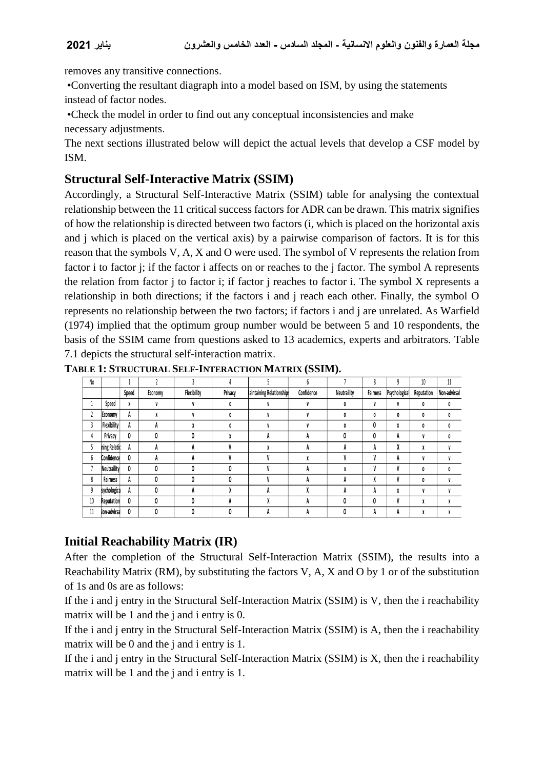removes any transitive connections.

 •Converting the resultant diagraph into a model based on ISM, by using the statements instead of factor nodes.

 •Check the model in order to find out any conceptual inconsistencies and make necessary adjustments.

The next sections illustrated below will depict the actual levels that develop a CSF model by ISM.

### **Structural Self-Interactive Matrix (SSIM)**

Accordingly, a Structural Self-Interactive Matrix (SSIM) table for analysing the contextual relationship between the 11 critical success factors for ADR can be drawn. This matrix signifies of how the relationship is directed between two factors (i, which is placed on the horizontal axis and j which is placed on the vertical axis) by a pairwise comparison of factors. It is for this reason that the symbols V, A, X and O were used. The symbol of V represents the relation from factor i to factor j; if the factor i affects on or reaches to the j factor. The symbol A represents the relation from factor j to factor i; if factor j reaches to factor i. The symbol X represents a relationship in both directions; if the factors i and j reach each other. Finally, the symbol O represents no relationship between the two factors; if factors i and j are unrelated. As Warfield (1974) implied that the optimum group number would be between 5 and 10 respondents, the basis of the SSIM came from questions asked to 13 academics, experts and arbitrators. Table 7.1 depicts the structural self-interaction matrix.

| No |                    |       |         |             |         |                          |            |             | 8               |               | 10         | 11           |
|----|--------------------|-------|---------|-------------|---------|--------------------------|------------|-------------|-----------------|---------------|------------|--------------|
|    |                    | Speed | Economy | Flexibility | Privacy | laintaining Relationship | Confidence | Neutraility | <b>Fairness</b> | Psychological | Reputation | Non-advirsal |
|    | Speed              | X     | V       | V           | 0       |                          |            | 0           | V               | V             | 0          | 0            |
| ٠  | Economy            | A     | л       |             | 0       |                          |            |             | 0               | 0             | 0          | 0            |
| 3  | <b>Flexibility</b> | A     | A       | л           | 0       |                          |            |             | 0               | X             | 0          | 0            |
| 4  | Privacy            | 0     |         |             | X       | A                        | n          | 0           | 0               | A             | V          | 0            |
| 5  | ning Relatio       | A     | A       | A           | V       |                          | n          | ĸ           | А               | v<br>Λ        | X          | V            |
| 6  | Confidence         | 0     | А       | A           | V       |                          |            |             | V               | A             | V          |              |
|    | <b>Neutraility</b> | 0     |         | O           | 0       |                          | n          | ۸           | V               | V             | 0          | 0            |
| 8  | Fairness           | A     |         |             | 0       |                          | Ħ          | A           | X               | V             | 0          |              |
| 9  | sychologica        | A     |         | A           |         | А                        |            | A           | A               | X             | V          |              |
| 10 | Reputation         | 0     |         | Λ           | A       |                          |            | 0           | 0               | V             | X          |              |
| 11 | lon-advirsa        | 0     |         |             | 0       | n                        |            | 0           | A               | A             | X          |              |

**TABLE 1: STRUCTURAL SELF-INTERACTION MATRIX (SSIM).**

# **Initial Reachability Matrix (IR)**

After the completion of the Structural Self-Interaction Matrix (SSIM), the results into a Reachability Matrix (RM), by substituting the factors V, A, X and O by 1 or of the substitution of 1s and 0s are as follows:

If the i and j entry in the Structural Self-Interaction Matrix (SSIM) is V, then the i reachability matrix will be 1 and the j and i entry is 0.

If the i and j entry in the Structural Self-Interaction Matrix (SSIM) is A, then the i reachability matrix will be 0 and the j and i entry is 1.

If the i and j entry in the Structural Self-Interaction Matrix (SSIM) is X, then the i reachability matrix will be 1 and the j and i entry is 1.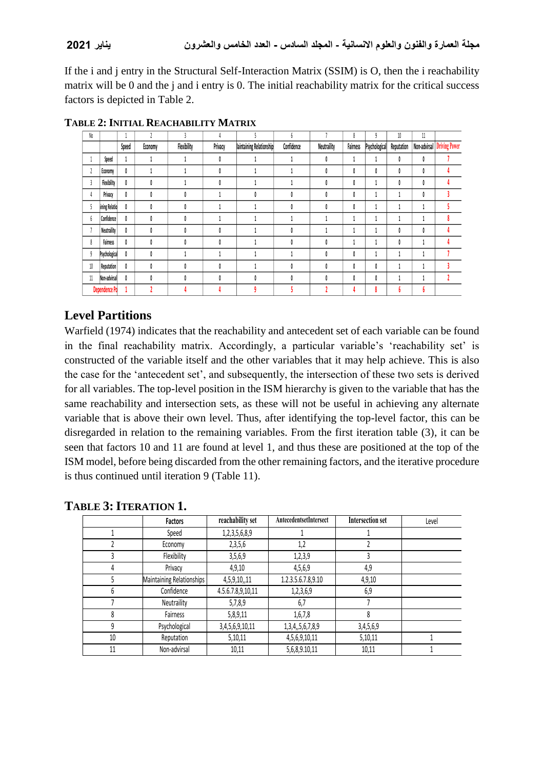**مجلة العمارة والفنون والعلوم االنسانية - المجلد السادس - العدد الخامس والعشرون يناير 2021**

If the i and j entry in the Structural Self-Interaction Matrix (SSIM) is O, then the i reachability matrix will be 0 and the j and i entry is 0. The initial reachability matrix for the critical success factors is depicted in Table 2.

| No                      |                   |       | h       | $\mathbf{3}$ | 4       |                          | h          |             | 8        | 9             | $10\,$     | $11\,$       |                      |
|-------------------------|-------------------|-------|---------|--------------|---------|--------------------------|------------|-------------|----------|---------------|------------|--------------|----------------------|
|                         |                   | Speed | Economy | Flexibility  | Privacy | laintaining Relationship | Confidence | Neutraility | Fairness | Psychological | Reputation | Non-advirsal | <b>Driving Power</b> |
| $\mathbf{1}$            | Speed             | л     |         |              |         |                          |            | 0           |          |               | 0          | 0            |                      |
| $\overline{\mathbf{c}}$ | Economy           | 0     |         |              | O       |                          |            |             | 0        | 0             | 0          | 0            |                      |
| 3                       | Flexibility       | 0     | Ô       |              |         |                          |            | Ô           | 0        |               | 0          | 0            |                      |
| 4                       | Privacy           | 0     |         |              |         |                          |            |             | 0        |               | м          | 0            |                      |
| 5                       | ining Relatio     | 0     |         |              |         |                          |            |             | 0        |               |            |              |                      |
| 6                       | <b>Confidence</b> | 0     |         | 0            |         |                          |            |             |          |               |            |              | 8                    |
| ٠                       | Neutraility       | 0     |         |              |         |                          |            |             |          |               | 0          | 0            |                      |
| 8                       | Fairness          | 0     |         |              |         |                          |            |             |          |               | 0          |              |                      |
| $\mathbf{g}$            | Psychological     | 0     |         |              |         |                          |            |             | 0        |               | ı          |              |                      |
| $10\,$                  | Reputation        | 0     |         | 0            |         |                          |            | Ô           | 0        | 0             |            |              |                      |
| 11                      | Non-advirsal      | 0     |         |              |         |                          |            |             | 0        |               |            |              |                      |
|                         | Dependence Po     |       |         |              |         |                          |            |             |          | 8             | b          | h            |                      |

#### **TABLE 2: INITIAL REACHABILITY MATRIX**

# **Level Partitions**

Warfield (1974) indicates that the reachability and antecedent set of each variable can be found in the final reachability matrix. Accordingly, a particular variable's 'reachability set' is constructed of the variable itself and the other variables that it may help achieve. This is also the case for the 'antecedent set', and subsequently, the intersection of these two sets is derived for all variables. The top-level position in the ISM hierarchy is given to the variable that has the same reachability and intersection sets, as these will not be useful in achieving any alternate variable that is above their own level. Thus, after identifying the top-level factor, this can be disregarded in relation to the remaining variables. From the first iteration table (3), it can be seen that factors 10 and 11 are found at level 1, and thus these are positioned at the top of the ISM model, before being discarded from the other remaining factors, and the iterative procedure is thus continued until iteration 9 (Table 11).

|    | Factors                   | reachability set  | AntecedentsetIntersect   | <b>Intersection set</b> | Level |
|----|---------------------------|-------------------|--------------------------|-------------------------|-------|
|    | Speed                     | 1,2,3,5,6,8,9     |                          |                         |       |
|    | Economy                   | 2,3,5,6           | 1,2                      |                         |       |
| 3  | Flexibility               | 3,5,6,9           | 1,2,3,9                  | 3                       |       |
| 4  | Privacy                   | 4,9,10            | 4,5,6,9                  | 4,9                     |       |
| 5  | Maintaining Relationships | 4,5,9,10,,11      | 1.2.3.5.6.7.8,9.10       | 4,9,10                  |       |
| 6  | Confidence                | 4.5.6.7.8,9,10,11 | 1,2,3,6,9                | 6,9                     |       |
|    | Neutraility               | 5,7,8,9           | 6,7                      |                         |       |
| 8  | Fairness                  | 5,8,9,11          | 1,6,7,8                  | 8                       |       |
| 9  | Psychological             | 3,4,5,6,9,10,11   | 1, 3, 4, , 5, 6, 7, 8, 9 | 3,4,5,6,9               |       |
| 10 | Reputation                | 5,10,11           | 4,5,6,9,10,11            | 5,10,11                 |       |
| 11 | Non-advirsal              | 10,11             | 5,6,8,9.10,11            | 10,11                   |       |

# **TABLE 3:ITERATION 1.**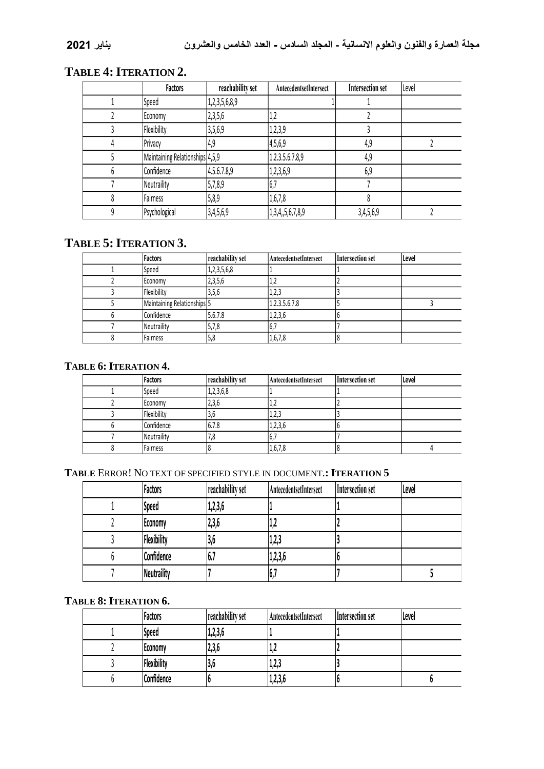# **TABLE 4:ITERATION 2.**

| Factors                         | reachability set | AntecedentsetIntersect | <b>Intersection set</b> | Level |
|---------------------------------|------------------|------------------------|-------------------------|-------|
| Speed                           | 1,2,3,5,6,8,9    |                        |                         |       |
| Economy                         | 2,3,5,6          | Τ,                     |                         |       |
| Flexibility                     | 3,5,6,9          | 1,2,3,9                |                         |       |
| Privacy                         | 4,9              | 4,5,6,9                | 4,9                     |       |
| Maintaining Relationships 4,5,9 |                  | 1.2.3.5.6.7.8,9        | 4,9                     |       |
| Confidence                      | 4.5.6.7.8,9      | 1,2,3,6,9              | 6,9                     |       |
| Neutraility                     | 5,7,8,9          | 6,7                    |                         |       |
| Fairness                        | 5,8,9            | 1,6,7,8                |                         |       |
| Psychological                   | 3,4,5,6,9        | 1,3,4,5,6,7,8,9        | 3,4,5,6,9               |       |

# **TABLE 5:ITERATION 3.**

| <b>Factors</b>              | reachability set | AntecedentsetIntersect | Intersection set | Level |
|-----------------------------|------------------|------------------------|------------------|-------|
| Speed                       | 1,2,3,5,6,8      |                        |                  |       |
| Economy                     | 2,3,5,6          | ے را۔ ا                |                  |       |
| Flexibility                 | 3,5,6            | 1,2,3                  |                  |       |
| Maintaining Relationships 5 |                  | 1.2.3.5.6.7.8          |                  |       |
| Confidence                  | 5.6.7.8          | 1,2,3,6                |                  |       |
| Neutraility                 | 5,7,8            | 16,7                   |                  |       |
| Fairness                    | 5,8              | 1,6,7,8                |                  |       |

### **TABLE 6: ITERATION 4.**

| Factors     | reachability set | <b>AntecedentsetIntersect</b> | Intersection set | Level |
|-------------|------------------|-------------------------------|------------------|-------|
| Speed       | 1,2,3,6,8        |                               |                  |       |
| Economy     |                  | 2,3,6<br>ے را                 |                  |       |
| Flexibility | ,3,6             | 1,2,3                         |                  |       |
| Confidence  | 6.7.8            | 1,2,3,6                       |                  |       |
| Neutraility | '.8              | <b>U.</b>                     |                  |       |
| Fairness    |                  | 1,6,7,8                       |                  |       |

#### **TABLE** ERROR! NO TEXT OF SPECIFIED STYLE IN DOCUMENT.**: ITERATION 5**

|  | Factors     | reachability set | AntecedentsetIntersect | Intersection set | Level |
|--|-------------|------------------|------------------------|------------------|-------|
|  | Speed       | 1,2,3,6          |                        |                  |       |
|  | Economy     | 2,3,6            | 4ر 1                   |                  |       |
|  | Flexibility | 13,6             | 1,2,3                  |                  |       |
|  | Confidence  | Ib./             | 1,2,3,6                |                  |       |
|  | Neutraility |                  | י,ס                    |                  |       |

#### **TABLE 8: ITERATION 6.**

| Factors     | reachability set | AntecedentsetIntersect | Intersection set | Level |
|-------------|------------------|------------------------|------------------|-------|
| Speed       | 1,2,3,6          |                        |                  |       |
| Economy     | 2,3,6            | .                      |                  |       |
| Flexibility | 13.b             | 1,2,3                  |                  |       |
| Confidence  |                  | 1,2,3,6                |                  |       |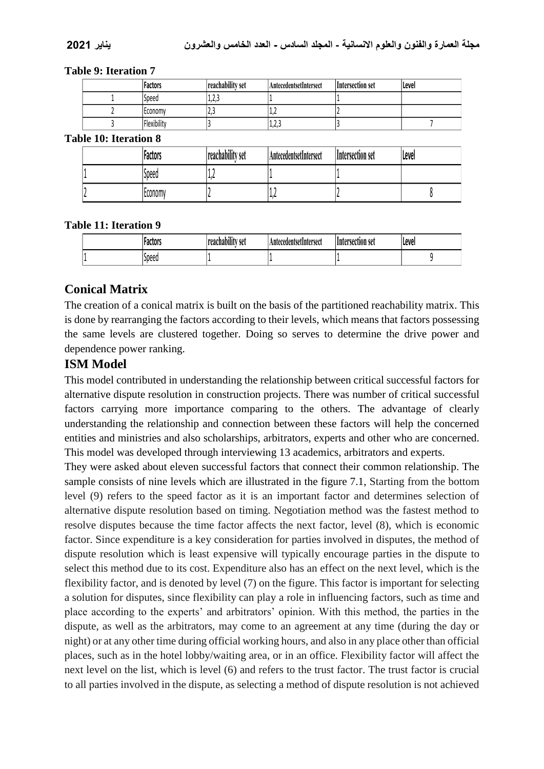#### **Table 9: Iteration 7**

|  | <b>Factors</b> | reachability set             | AntecedentsetIntersect | Intersection set | l Level |
|--|----------------|------------------------------|------------------------|------------------|---------|
|  | Speed          | $\mathbf{\hat{}}$<br>ر ع ر 1 |                        |                  |         |
|  | l Economv      | ن ، ک                        | ے رہے                  |                  |         |
|  | Flexibility    |                              | $\sim$<br>د,∠,⊥        |                  |         |

**Table 10: Iteration 8**

|  | Factors        | reachability set | AntecedentsetIntersect | Intersection set | Level |
|--|----------------|------------------|------------------------|------------------|-------|
|  | Speed          | - 16             |                        |                  |       |
|  | <b>LCONOMV</b> |                  | ، رے ا                 |                  |       |

#### **Table 11: Iteration 9**

|  | Factors | $^{\bullet + \bullet}$<br> reachability set | . AntecedentsetIntersect_ | Intersection set | llevel |
|--|---------|---------------------------------------------|---------------------------|------------------|--------|
|  | Speed   |                                             |                           |                  |        |

# **Conical Matrix**

The creation of a conical matrix is built on the basis of the partitioned reachability matrix. This is done by rearranging the factors according to their levels, which means that factors possessing the same levels are clustered together. Doing so serves to determine the drive power and dependence power ranking.

### **ISM Model**

This model contributed in understanding the relationship between critical successful factors for alternative dispute resolution in construction projects. There was number of critical successful factors carrying more importance comparing to the others. The advantage of clearly understanding the relationship and connection between these factors will help the concerned entities and ministries and also scholarships, arbitrators, experts and other who are concerned. This model was developed through interviewing 13 academics, arbitrators and experts.

They were asked about eleven successful factors that connect their common relationship. The sample consists of nine levels which are illustrated in the figure 7.1, Starting from the bottom level (9) refers to the speed factor as it is an important factor and determines selection of alternative dispute resolution based on timing. Negotiation method was the fastest method to resolve disputes because the time factor affects the next factor, level (8), which is economic factor. Since expenditure is a key consideration for parties involved in disputes, the method of dispute resolution which is least expensive will typically encourage parties in the dispute to select this method due to its cost. Expenditure also has an effect on the next level, which is the flexibility factor, and is denoted by level (7) on the figure. This factor is important for selecting a solution for disputes, since flexibility can play a role in influencing factors, such as time and place according to the experts' and arbitrators' opinion. With this method, the parties in the dispute, as well as the arbitrators, may come to an agreement at any time (during the day or night) or at any other time during official working hours, and also in any place other than official places, such as in the hotel lobby/waiting area, or in an office. Flexibility factor will affect the next level on the list, which is level (6) and refers to the trust factor. The trust factor is crucial to all parties involved in the dispute, as selecting a method of dispute resolution is not achieved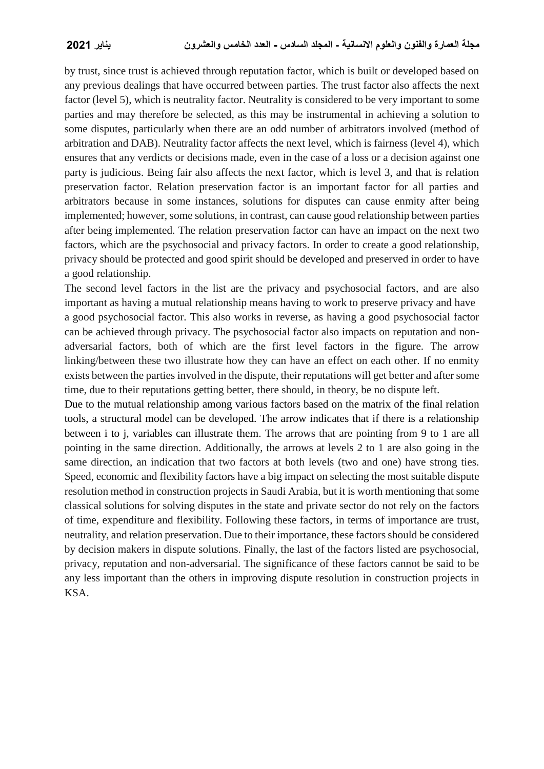by trust, since trust is achieved through reputation factor, which is built or developed based on any previous dealings that have occurred between parties. The trust factor also affects the next factor (level 5), which is neutrality factor. Neutrality is considered to be very important to some parties and may therefore be selected, as this may be instrumental in achieving a solution to some disputes, particularly when there are an odd number of arbitrators involved (method of arbitration and DAB). Neutrality factor affects the next level, which is fairness (level 4), which ensures that any verdicts or decisions made, even in the case of a loss or a decision against one party is judicious. Being fair also affects the next factor, which is level 3, and that is relation preservation factor. Relation preservation factor is an important factor for all parties and arbitrators because in some instances, solutions for disputes can cause enmity after being implemented; however, some solutions, in contrast, can cause good relationship between parties after being implemented. The relation preservation factor can have an impact on the next two factors, which are the psychosocial and privacy factors. In order to create a good relationship, privacy should be protected and good spirit should be developed and preserved in order to have a good relationship.

The second level factors in the list are the privacy and psychosocial factors, and are also important as having a mutual relationship means having to work to preserve privacy and have a good psychosocial factor. This also works in reverse, as having a good psychosocial factor can be achieved through privacy. The psychosocial factor also impacts on reputation and nonadversarial factors, both of which are the first level factors in the figure. The arrow linking/between these two illustrate how they can have an effect on each other. If no enmity exists between the parties involved in the dispute, their reputations will get better and after some time, due to their reputations getting better, there should, in theory, be no dispute left.

Due to the mutual relationship among various factors based on the matrix of the final relation tools, a structural model can be developed. The arrow indicates that if there is a relationship between i to j, variables can illustrate them. The arrows that are pointing from 9 to 1 are all pointing in the same direction. Additionally, the arrows at levels 2 to 1 are also going in the same direction, an indication that two factors at both levels (two and one) have strong ties. Speed, economic and flexibility factors have a big impact on selecting the most suitable dispute resolution method in construction projects in Saudi Arabia, but it is worth mentioning that some classical solutions for solving disputes in the state and private sector do not rely on the factors of time, expenditure and flexibility. Following these factors, in terms of importance are trust, neutrality, and relation preservation. Due to their importance, these factors should be considered by decision makers in dispute solutions. Finally, the last of the factors listed are psychosocial, privacy, reputation and non-adversarial. The significance of these factors cannot be said to be any less important than the others in improving dispute resolution in construction projects in KSA.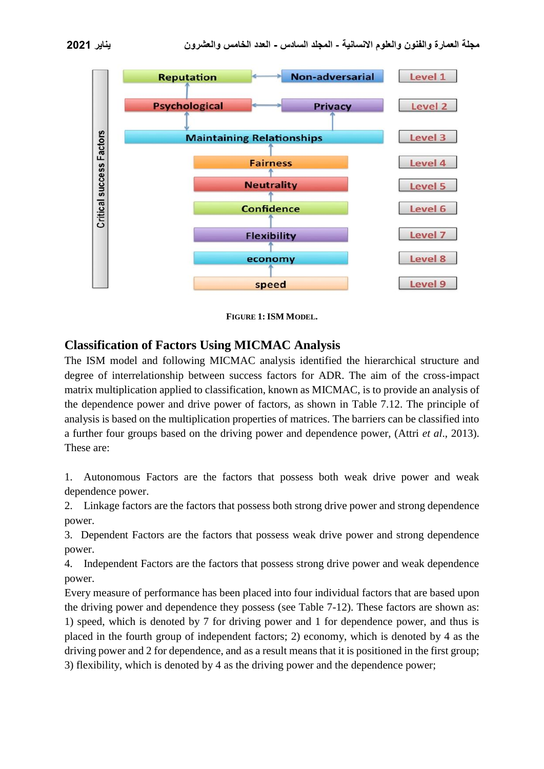



**FIGURE 1: ISM MODEL.**

### **Classification of Factors Using MICMAC Analysis**

The ISM model and following MICMAC analysis identified the hierarchical structure and degree of interrelationship between success factors for ADR. The aim of the cross-impact matrix multiplication applied to classification, known as MICMAC, is to provide an analysis of the dependence power and drive power of factors, as shown in Table 7.12. The principle of analysis is based on the multiplication properties of matrices. The barriers can be classified into a further four groups based on the driving power and dependence power, (Attri *et al*., 2013). These are:

1. Autonomous Factors are the factors that possess both weak drive power and weak dependence power.

2. Linkage factors are the factors that possess both strong drive power and strong dependence power.

3. Dependent Factors are the factors that possess weak drive power and strong dependence power.

4. Independent Factors are the factors that possess strong drive power and weak dependence power.

Every measure of performance has been placed into four individual factors that are based upon the driving power and dependence they possess (see Table 7-12). These factors are shown as: 1) speed, which is denoted by 7 for driving power and 1 for dependence power, and thus is placed in the fourth group of independent factors; 2) economy, which is denoted by 4 as the driving power and 2 for dependence, and as a result means that it is positioned in the first group; 3) flexibility, which is denoted by 4 as the driving power and the dependence power;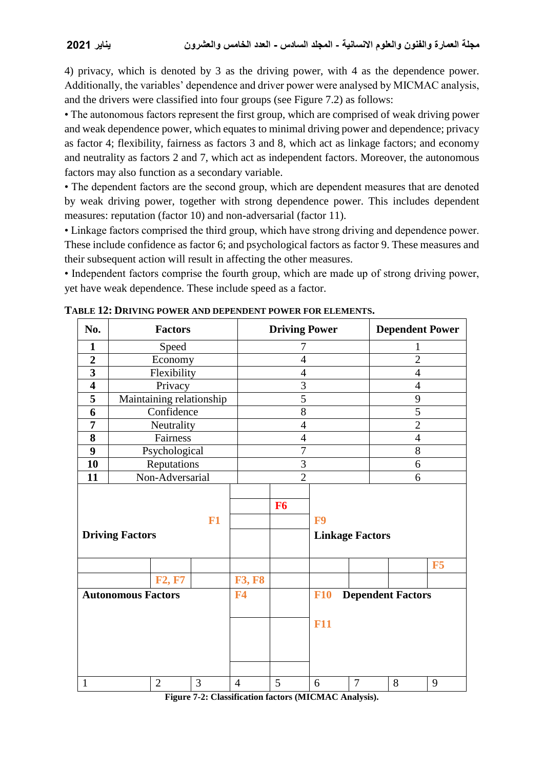4) privacy, which is denoted by 3 as the driving power, with 4 as the dependence power. Additionally, the variables' dependence and driver power were analysed by MICMAC analysis, and the drivers were classified into four groups (see Figure 7.2) as follows:

• The autonomous factors represent the first group, which are comprised of weak driving power and weak dependence power, which equates to minimal driving power and dependence; privacy as factor 4; flexibility, fairness as factors 3 and 8, which act as linkage factors; and economy and neutrality as factors 2 and 7, which act as independent factors. Moreover, the autonomous factors may also function as a secondary variable.

• The dependent factors are the second group, which are dependent measures that are denoted by weak driving power, together with strong dependence power. This includes dependent measures: reputation (factor 10) and non-adversarial (factor 11).

• Linkage factors comprised the third group, which have strong driving and dependence power. These include confidence as factor 6; and psychological factors as factor 9. These measures and their subsequent action will result in affecting the other measures.

• Independent factors comprise the fourth group, which are made up of strong driving power, yet have weak dependence. These include speed as a factor.

| No.                            |                 | <b>Factors</b>           |   |                | <b>Driving Power</b> |                          |                        | <b>Dependent Power</b>   |    |  |
|--------------------------------|-----------------|--------------------------|---|----------------|----------------------|--------------------------|------------------------|--------------------------|----|--|
| 1                              |                 | Speed                    |   |                | 7                    |                          |                        | 1                        |    |  |
| $\overline{2}$                 |                 | Economy                  |   |                | $\overline{4}$       |                          |                        | $\overline{2}$           |    |  |
| $\overline{\mathbf{3}}$        |                 | Flexibility              |   |                | $\overline{4}$       |                          |                        | $\overline{4}$           |    |  |
| $\overline{\mathbf{4}}$        |                 | Privacy                  |   |                | 3                    |                          |                        | $\overline{4}$           |    |  |
| 5                              |                 | Maintaining relationship |   |                | 5                    |                          |                        |                          |    |  |
| 6                              |                 | Confidence               |   |                | 8                    |                          |                        |                          |    |  |
| 7                              |                 | Neutrality               |   |                | $\overline{4}$       |                          | $\overline{2}$         |                          |    |  |
| 8                              |                 | Fairness                 |   |                | $\overline{4}$       |                          |                        | $\overline{4}$           |    |  |
| 9                              | Psychological   |                          |   |                | $\overline{7}$       |                          |                        | 8                        |    |  |
| 10                             | Reputations     |                          |   |                | 3                    |                          |                        | 6                        |    |  |
| 11                             | Non-Adversarial |                          |   |                | $\overline{2}$       |                          |                        | 6                        |    |  |
| $F1$<br><b>Driving Factors</b> |                 |                          |   |                | <b>F6</b>            | F <sub>9</sub>           | <b>Linkage Factors</b> |                          |    |  |
|                                |                 |                          |   |                |                      |                          |                        |                          | F5 |  |
|                                |                 | <b>F2, F7</b>            |   | <b>F3, F8</b>  |                      |                          |                        |                          |    |  |
| <b>Autonomous Factors</b>      |                 |                          |   | <b>F4</b>      |                      | <b>F10</b><br><b>F11</b> |                        | <b>Dependent Factors</b> |    |  |
| $\mathbf{1}$                   |                 | $\overline{2}$           | 3 | $\overline{4}$ | 5                    | 6                        | $\overline{7}$         | 8                        | 9  |  |

**TABLE 12: DRIVING POWER AND DEPENDENT POWER FOR ELEMENTS.**

**Figure 7-2: Classification factors (MICMAC Analysis).**